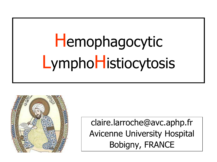## Hemophagocytic LymphoHistiocytosis



claire.larroche@avc.aphp.fr **Avicenne University Hospital** Bobigny, FRANCE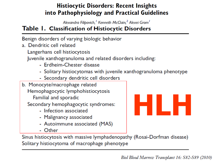#### **Histiocytic Disorders: Recent Insights** into Pathophysiology and Practical Guidelines

Alexandra Filipovich,<sup>1</sup> Kenneth McClain,<sup>2</sup> Alexei Grom<sup>1</sup>

#### Table 1. Classification of Histiocytic Disorders

Benign disorders of varying biologic behavior

a. Dendritic cell related

Langerhans cell histiocytosis

Juvenile xanthogranuloma and related disorders including:

- Frdheim-Chester disease
- Solitary histiocytomas with juvenile xanthogranuloma phenotype
- Secondary dendritic cell disorders
- b. Monocyte/macrophage related Hemophagocytic lymphohistiocytosis Familial and sporadic

Secondary hemophagocytic syndromes:

- Infection associated
- Malignancy associated
- Autoimmune associated (MAS)
- Other

Sinus histiocytosis with massive lymphadenopathy (Rosai-Dorfman disease) Solitary histiocytoma of macrophage phenotype

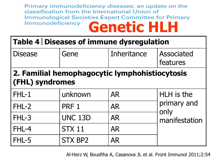Primary immunodeficiency diseases: an update on the classification from the International Union of Immunological Societies Expert Committee for Primary Immunodeficiency **Genetic HLH**

#### **Table 4 Diseases of immune dysregulation**

| <b>Disease</b>                                 | Gene | Inheritance | <b>Associated</b> |  |
|------------------------------------------------|------|-------------|-------------------|--|
|                                                |      |             | features          |  |
| 2. Familial hemophagocytic lymphohistiocytosis |      |             |                   |  |

#### **(FHL) syndromes**

| $FHL-1$ | unknown        | <b>AR</b> | HLH is the                           |
|---------|----------------|-----------|--------------------------------------|
| $FHL-2$ | PRF 1          | <b>AR</b> | primary and<br>only<br>manifestation |
| $FHL-3$ | <b>UNC 13D</b> | <b>AR</b> |                                      |
| FHL-4   | <b>STX 11</b>  | <b>AR</b> |                                      |
| FHL-5   | <b>STX BP2</b> | <b>AR</b> |                                      |

Al-Herz W, Bousfiha A, Casanova JL et al. Front Immunol 2011;2:54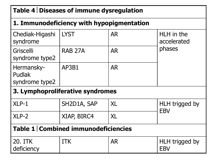| Table 4   Diseases of immune dysregulation |                |           |                              |  |  |  |
|--------------------------------------------|----------------|-----------|------------------------------|--|--|--|
| 1. Immunodeficiency with hypopigmentation  |                |           |                              |  |  |  |
| Chediak-Higashi<br>syndrome                | <b>LYST</b>    | <b>AR</b> | HLH in the<br>accelerated    |  |  |  |
| Griscelli<br>syndrome type2                | <b>RAB 27A</b> | <b>AR</b> | phases                       |  |  |  |
| Hermansky-<br>Pudlak<br>syndrome type2     | AP3B1          | <b>AR</b> |                              |  |  |  |
| 3. Lymphoproliferative syndromes           |                |           |                              |  |  |  |
| $XLP-1$                                    | SH2D1A, SAP    | XL        | HLH trigged by               |  |  |  |
| $XLP-2$                                    | XIAP, BIRC4    | <b>XL</b> | <b>EBV</b>                   |  |  |  |
| Table 1   Combined immunodeficiencies      |                |           |                              |  |  |  |
| 20. ITK<br>deficiency                      | <b>ITK</b>     | <b>AR</b> | HLH trigged by<br><b>EBV</b> |  |  |  |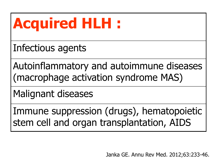## **Acquired HLH :**

Infectious agents

Autoinflammatory and autoimmune diseases (macrophage activation syndrome MAS)

Malignant diseases

Immune suppression (drugs), hematopoietic stem cell and organ transplantation, AIDS

Janka GE. Annu Rev Med. 2012;63:233-46.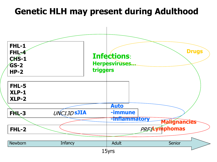#### **Genetic HLH may present during Adulthood**

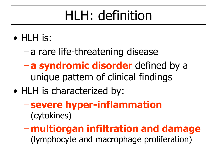## HLH: definition

- HLH is:
	- a rare life-threatening disease
	- **a syndromic disorder** defined by a unique pattern of clinical findings
- HLH is characterized by:
	- **severe hyper-inflammation** (cytokines)
	- –**multiorgan infiltration and damage** (lymphocyte and macrophage proliferation)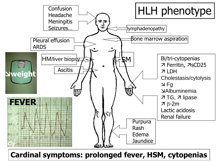

**Cardinal symptoms: prolonged fever, HSM, cytopenias**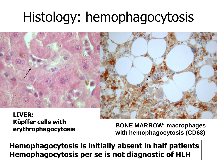## Histology: hemophagocytosis



**LIVER: Küpffer cells with** 

**erythrophagocytosis BONE MARROW: macrophages with hemophagocytosis (CD68)**

**Hemophagocytosis is initially absent in half patients Hemophagocytosis per se is not diagnostic of HLH**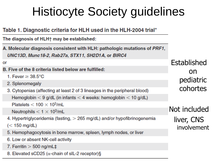#### **Histiocyte Society guidelines**

#### Table 1. Diagnostic criteria for HLH used in the HLH-2004 trial\*

The diagnosis of HLH<sup>+</sup> may be established:

A. Molecular diagnosis consistent with HLH: pathologic mutations of PRF1, UNC13D, Munc18-2, Rab27a, STX11, SH2D1A, or BIRC4

or

- B. Five of the 8 criteria listed below are fulfilled:
	- 1. Fever  $\geq$  38.5°C
	- 2. Splenomegaly
	- 3. Cytopenias (affecting at least 2 of 3 lineages in the peripheral blood)

Hemoglobin  $<$  9 g/dL (in infants  $<$  4 weeks: hemoglobin  $<$  10 g/dL)

Platelets  $< 100 \times 10<sup>3</sup>/mL$ 

Neutrophils  $<$  1  $\times$  10<sup>3</sup>/mL

4. Hypertriglyceridemia (fasting, > 265 mg/dL) and/or hypofibrinogenemia

 $(< 150$  mg/dL)

- 5. Hemophagocytosis in bone marrow, spleen, lymph nodes, or liver
- 6. Low or absent NK-cell activity
- 7. Ferritin  $>$  500 ng/mL $\ddagger$
- 8. Elevated sCD25 ( $\alpha$ -chain of sIL-2 receptor)§

**Established** no pediatric cohortes

Not included liver, CNS involvement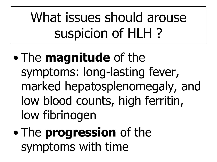What issues should arouse suspicion of HLH ?

- The **magnitude** of the symptoms: long-lasting fever, marked hepatosplenomegaly, and low blood counts, high ferritin, low fibrinogen
- The **progression** of the symptoms with time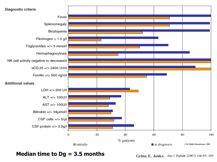

**Median time to Dg = 3.5 months**

Gritta E. Janka Eur J Pediatr (2007) 166:95-109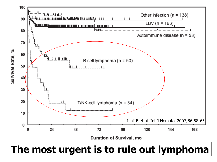

#### **The most urgent is to rule out lymphoma**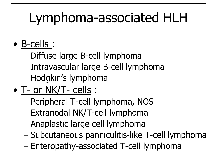## Lymphoma-associated HLH

- B-cells :
	- Diffuse large B-cell lymphoma
	- Intravascular large B-cell lymphoma
	- Hodgkin's lymphoma
- T- or NK/T- cells :
	- Peripheral T-cell lymphoma, NOS
	- Extranodal NK/T-cell lymphoma
	- Anaplastic large cell lymphoma
	- Subcutaneous panniculitis-like T-cell lymphoma
	- Enteropathy-associated T-cell lymphoma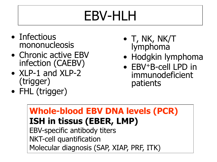## EBV-HLH

- Infectious mononucleosis
- Chronic active EBV infection (CAEBV)
- XLP-1 and XLP-2 (trigger)
- FHL (trigger)
- T, NK, NK/T lymphoma
- Hodgkin lymphoma
- EBV<sup>+</sup>B-cell LPD in immunodeficient patients

**Whole-blood EBV DNA levels (PCR) ISH in tissus (EBER, LMP)** EBV-specific antibody titers NKT-cell quantification Molecular diagnosis (SAP, XIAP, PRF, ITK)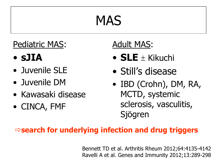## MAS

#### Pediatric MAS:

- **sJIA**
- Juvenile SLE
- Juvenile DM
- Kawasaki disease
- CINCA, FMF

#### Adult MAS:

- **SLE**  $\pm$  Kikuchi
- Still's disease
- IBD (Crohn), DM, RA, MCTD, systemic sclerosis, vasculitis, Sjögren

#### **search for underlying infection and drug triggers**

Bennett TD et al. Arthritis Rheum 2012;64:4135-4142 Ravelli A et al. Genes and Immunity 2012;13:289-298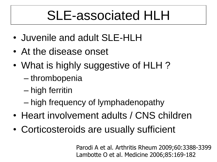### SLE-associated HLH

- Juvenile and adult SLE-HLH
- At the disease onset
- What is highly suggestive of HLH?
	- thrombopenia
	- high ferritin
	- high frequency of lymphadenopathy
- Heart involvement adults / CNS children
- Corticosteroids are usually sufficient

Parodi A et al. Arthritis Rheum 2009;60:3388-3399 Lambotte O et al. Medicine 2006;85:169-182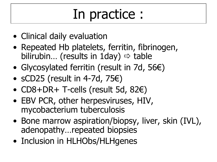## In practice :

- Clinical daily evaluation
- Repeated Hb platelets, ferritin, fibrinogen, bilirubin... (results in 1day)  $\Rightarrow$  table
- Glycosylated ferritin (result in 7d, 56€)
- sCD25 (result in 4-7d, 75 $\varepsilon$ )
- CD8+DR+ T-cells (result 5d, 82€)
- EBV PCR, other herpesviruses, HIV, mycobacterium tuberculosis
- Bone marrow aspiration/biopsy, liver, skin (IVL), adenopathy…repeated biopsies
- Inclusion in HLHObs/HLHgenes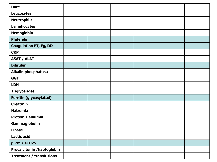| <b>Date</b>                     |  |  |  |
|---------------------------------|--|--|--|
| <b>Leucocytes</b>               |  |  |  |
| <b>Neutrophils</b>              |  |  |  |
| <b>Lymphocytes</b>              |  |  |  |
| Hemoglobin                      |  |  |  |
| <b>Platelets</b>                |  |  |  |
| <b>Coagulation PT, Fg, DD</b>   |  |  |  |
| <b>CRP</b>                      |  |  |  |
| <b>ASAT / ALAT</b>              |  |  |  |
| <b>Bilirubin</b>                |  |  |  |
| <b>Alkalin phosphatase</b>      |  |  |  |
| <b>GGT</b>                      |  |  |  |
| <b>LDH</b>                      |  |  |  |
| <b>Triglycerides</b>            |  |  |  |
| <b>Ferritin (glycosylated)</b>  |  |  |  |
| <b>Creatinin</b>                |  |  |  |
| <b>Natremia</b>                 |  |  |  |
| Protein / albumin               |  |  |  |
| Gammaglobulin                   |  |  |  |
| <b>Lipase</b>                   |  |  |  |
| <b>Lactic acid</b>              |  |  |  |
| $\beta$ -2m / sCD25             |  |  |  |
| Procalcitonin / haptoglobin     |  |  |  |
| <b>Treatment / transfusions</b> |  |  |  |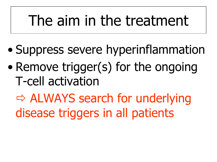## The aim in the treatment

- Suppress severe hyperinflammation
- Remove trigger(s) for the ongoing T-cell activation

 ALWAYS search for underlying disease triggers in all patients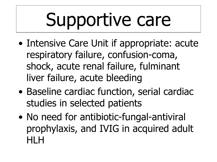## Supportive care

- Intensive Care Unit if appropriate: acute respiratory failure, confusion-coma, shock, acute renal failure, fulminant liver failure, acute bleeding
- Baseline cardiac function, serial cardiac studies in selected patients
- No need for antibiotic-fungal-antiviral prophylaxis, and IVIG in acquired adult HLH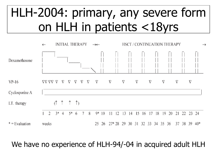#### HLH-2004: primary, any severe form on HLH in patients <18yrs



#### We have no experience of HLH-94/-04 in acquired adult HLH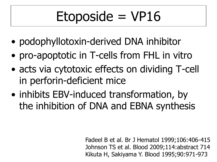## $Étoposide = VP16$

- podophyllotoxin-derived DNA inhibitor
- pro-apoptotic in T-cells from FHL in vitro
- acts via cytotoxic effects on dividing T-cell in perforin-deficient mice
- inhibits EBV-induced transformation, by the inhibition of DNA and EBNA synthesis

Fadeel B et al. Br J Hematol 1999;106:406-415 Johnson TS et al. Blood 2009;114:abstract 714 Kikuta H, Sakiyama Y. Blood 1995;90:971-973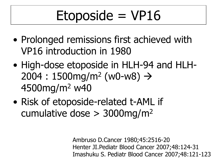## $Etoposide = VP16$

- Prolonged remissions first achieved with VP16 introduction in 1980
- High-dose etoposide in HLH-94 and HLH- $2004 : 1500 \text{mg/m}^2 \ (w0-w8) \rightarrow$ 4500mg/m<sup>2</sup> w40
- Risk of etoposide-related t-AML if cumulative dose  $>$  3000mg/m<sup>2</sup>

Ambruso D.Cancer 1980;45:2516-20 Henter JI.Pediatr Blood Cancer 2007;48:124-31 Imashuku S. Pediatr Blood Cancer 2007;48:121-123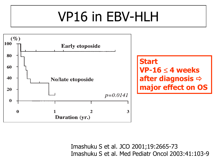## VP16 in EBV-HLH



Imashuku S et al. JCO 2001;19:2665-73 Imashuku S et al. Med Pediatr Oncol 2003:41:103-9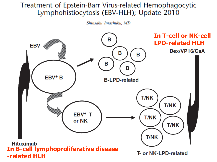#### Treatment of Epstein-Barr Virus-related Hemophagocytic Lymphohistiocytosis (EBV-HLH); Update 2010

Shinsaku Imashuku, MD

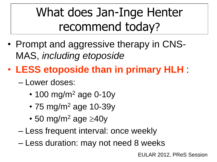#### What does Jan-Inge Henter recommend today?

- Prompt and aggressive therapy in CNS-MAS, *including etoposide*
- **LESS etoposide than in primary HLH** :
	- Lower doses:
		- 100 mg/m<sup>2</sup> age 0-10y
		- 75 mg/m<sup>2</sup> age 10-39y
		- 50 mg/m<sup>2</sup> age  $\geq$ 40y
	- Less frequent interval: once weekly
	- Less duration: may not need 8 weeks

EULAR 2012, PReS Session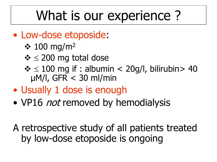### What is our experience ?

- Low-dose etoposide:
	- $\div$  100 mg/m<sup>2</sup>
	- $\div$   $\leq$  200 mg total dose
	- $\div$   $\leq$  100 mg if : albumin  $<$  20g/l, bilirubin  $>$  40 µM/l, GFR < 30 ml/min
- Usually 1 dose is enough
- VP16 *not* removed by hemodialysis

A retrospective study of all patients treated by low-dose etoposide is ongoing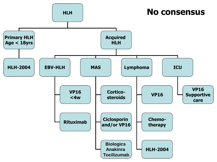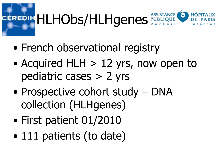# EREDIH HLHObs/HLHgenes PUBLIQUE

- French observational registry
- Acquired HLH  $> 12$  yrs, now open to pediatric cases > 2 yrs
- Prospective cohort study DNA collection (HLHgenes)
- First patient 01/2010
- 111 patients (to date)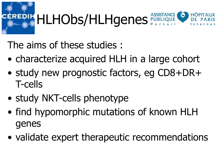# REDIH HLHObs/HLHgenes PUBLIQUE

The aims of these studies :

- characterize acquired HLH in a large cohort
- study new prognostic factors, eg CD8+DR+ T-cells
- study NKT-cells phenotype
- find hypomorphic mutations of known HLH genes
- validate expert therapeutic recommendations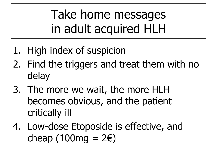Take home messages in adult acquired HLH

- 1. High index of suspicion
- 2. Find the triggers and treat them with no delay
- 3. The more we wait, the more HLH becomes obvious, and the patient critically ill
- 4. Low-dose Etoposide is effective, and cheap  $(100mg = 2\varepsilon)$